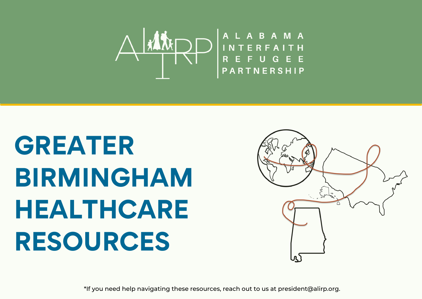

# **GREATER BIRMINGHAM HEALTHCARE RESOURCES**



\*If you need help navigating these resources, reach out to us at president@alirp.org.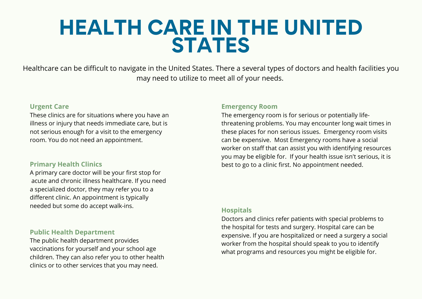# **HEALTH CARE IN THE UNITED STATES**

Healthcare can be difficult to navigate in the United States. There a several types of doctors and health facilities you may need to utilize to meet all of your needs.

#### **Urgent Care**

These clinics are for situations where you have an illness or injury that needs immediate care, but is not serious enough for a visit to the emergency room. You do not need an appointment.

#### **Primary Health Clinics**

A primary care doctor will be your first stop for acute and chronic illness healthcare. If you need a specialized doctor, they may refer you to a different clinic. An appointment is typically needed but some do accept walk-ins.

#### **Public Health Department**

The public health department provides vaccinations for yourself and your school age children. They can also refer you to other health clinics or to other services that you may need.

#### **Emergency Room**

The emergency room is for serious or potentially lifethreatening problems. You may encounter long wait times in these places for non serious issues. Emergency room visits can be expensive. Most Emergency rooms have a social worker on staff that can assist you with identifying resources you may be eligible for. If your health issue isn't serious, it is best to go to a clinic first. No appointment needed.

#### **Hospitals**

Doctors and clinics refer patients with special problems to the hospital for tests and surgery. Hospital care can be expensive. If you are hospitalized or need a surgery a social worker from the hospital should speak to you to identify what programs and resources you might be eligible for.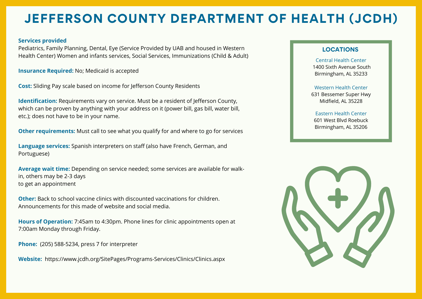## **JEFFERSON COUNTY DEPARTMENT OF HEALTH (JCDH)**

#### **Services provided**

Pediatrics, Family Planning, Dental, Eye (Service Provided by UAB and housed in Western Health Center) Women and infants services, Social Services, Immunizations (Child & Adult)

**Insurance Required:** No; Medicaid is accepted

**Cost:** Sliding Pay scale based on income for Jefferson County Residents

**Identification:** Requirements vary on service. Must be a resident of Jefferson County, which can be proven by anything with your address on it (power bill, gas bill, water bill, etc.); does not have to be in your name.

**Other requirements:** Must call to see what you qualify for and where to go for services

**Language services:** Spanish interpreters on staff (also have French, German, and Portuguese)

**Average wait time:** Depending on service needed; some services are available for walkin, others may be 2-3 days to get an appointment

**Other:** Back to school vaccine clinics with discounted vaccinations for children. Announcements for this made of website and social media.

**Hours of Operation:** 7:45am to 4:30pm. Phone lines for clinic appointments open at 7:00am Monday through Friday.

**Phone:** (205) 588-5234, press 7 for interpreter

**Website:** [https://www.jcdh.org/SitePages/Programs-Services/Clinics/Clinics.aspx](https://urldefense.com/v3/__https:/www.jcdh.org/SitePages/Programs-Services/Clinics/Clinics.aspx__;!!NoSwA-eRAg!RPg6ivh9zdpfdgtlvclGoxMg-CDhP-Im8pk3R1EgkI5Fp7qiKSJ39pw5HUYHnWDP9g$)

#### **LOCATIONS**

Central Health Center 1400 Sixth Avenue South Birmingham, AL 35233

Western Health Center 631 Bessemer Super Hwy Midfield, AL 35228

#### Eastern Health Center

601 West Blvd Roebuck Birmingham, AL 35206

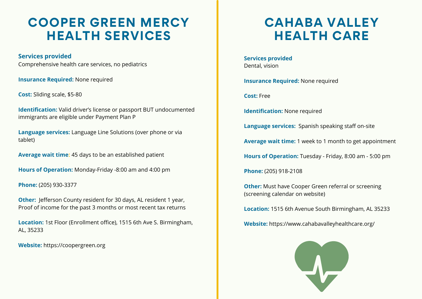### **COOPER GREEN MERCY HEALTH SERVICES**

**Services provided** Comprehensive health care services, no pediatrics

**Insurance Required:** None required

**Cost:** Sliding scale, \$5-80

**Identification:** Valid driver's license or passport BUT undocumented immigrants are eligible under Payment Plan P

**Language services:** Language Line Solutions (over phone or via tablet)

**Average wait time:** 45 days to be an established patient

**Hours of Operation:** Monday-Friday -8:00 am and 4:00 pm

**Phone:** (205) 930-3377

**Other:** Jefferson County resident for 30 days, AL resident 1 year, Proof of income for the past 3 months or most recent tax returns

**Location:** 1st Floor (Enrollment office), 1515 6th Ave S. Birmingham, AL, 35233

**Website:** [https://coopergreen.org](https://coopergreen.org/)

### **CAHABA VALLEY HEALTH CARE**

**Services provided** Dental, vision

**Insurance Required:** None required

**Cost:** Free

**Identification:** None required

**Language services:** Spanish speaking staff on-site

**Average wait time:** 1 week to 1 month to get appointment

**Hours of Operation:** Tuesday - Friday, 8:00 am - 5:00 pm

**Phone:** (205) 918-2108

**Other:** Must have Cooper Green referral or screening (screening calendar on website)

**Location:** 1515 6th Avenue South Birmingham, AL 35233

**Website:** https://www.cahabavalleyhealthcare.org/

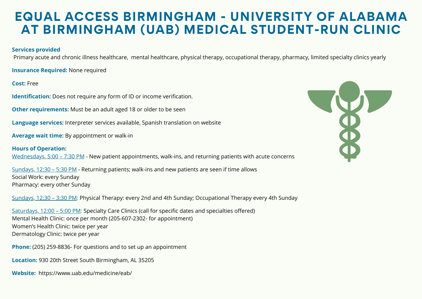### **EQUAL ACCESS BIRMINGHAM - UNIVERSITY OF ALABAMA AT BIRMINGHAM (UAB) MEDICAL STUDENT-RUN CLINIC**

#### **Services provided**

Primary acute and chronic illness healthcare, mental healthcare, physical therapy, occupational therapy, pharmacy, limited specialty clinics yearly

**Insurance Required:** None required

**Cost:** Free

**Identification:** Does not require any form of ID or income verification.

**Other requirements:** Must be an adult aged 18 or older to be seen

**Language services:** Interpreter services available, Spanish translation on website

**Average wait time:** By appointment or walk-in

**Hours of Operation:**  Wednesdays, 5:00 – 7:30 PM - New patient appointments, walk-ins, and returning patients with acute concerns

Sundays, 12:30 – 5:30 PM - Returning patients; walk-ins and new patients are seen if time allows Social Work: every Sunday Pharmacy: every other Sunday

Sundays, 12:30 – 3:30 PM: Physical Therapy: every 2nd and 4th Sunday; Occupational Therapy every 4th Sunday

Saturdays, 12:00 – 5:00 PM: Specialty Care Clinics (call for specific dates and specialties offered) Mental Health Clinic: once per month (205-607-2302- for appointment) Women's Health Clinic: twice per year Dermatology Clinic: twice per year

**Phone:** (205) 259-8836- For questions and to set up an appointment

**Location:** 930 20th Street South Birmingham, AL 35205

**Website:** <https://www.uab.edu/medicine/eab/>

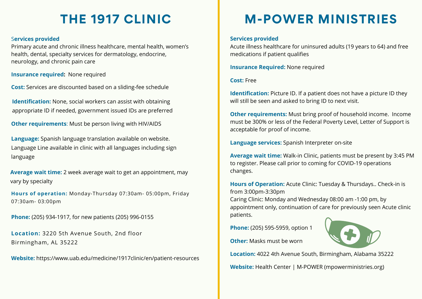# **THE 1917 CLINIC**

#### S**ervices provided**

Primary acute and chronic illness healthcare, mental health, women's health, dental, specialty services for dermatology, endocrine, neurology, and chronic pain care

**Insurance required:** None required

**Cost:** Services are discounted based on a sliding-fee schedule

**Identification:** None, social workers can assist with obtaining appropriate ID if needed, government issued IDs are preferred

**Other requirements**: Must be person living with HIV/AIDS

**Language:** Spanish language translation available on website. Language Line available in clinic with all languages including sign language

**Average wait time:** 2 week average wait to get an appointment, may vary by specialty

**Hours of operation:** Monday-Thursday 07:30am- 05:00pm, Friday 07:30am- 03:00pm

**Phone:** (205) 934-1917, for new patients (205) 996-0155

**Location:** 3220 5th Avenue South, 2nd floor Birmingham, AL 35222

**Website:** https://www.uab.edu/medicine/1917clinic/en/patient-resources

# **M-POWER MINISTRIES**

#### **Services provided**

Acute illness healthcare for uninsured adults (19 years to 64) and free medications if patient qualifies

**Insurance Required:** None required

#### **Cost:** Free

**Identification:** Picture ID. If a patient does not have a picture ID they will still be seen and asked to bring ID to next visit.

**Other requirements:** Must bring proof of household income. Income must be 300% or less of the Federal Poverty Level, Letter of Support is acceptable for proof of income.

**Language services:** Spanish Interpreter on-site

**Average wait time:** Walk-in Clinic, patients must be present by 3:45 PM to register. Please call prior to coming for COVID-19 operations changes.

**Hours of Operation:** Acute Clinic: Tuesday & Thursdays.. Check-in is from 3:00pm-3:30pm

Caring Clinic: Monday and Wednesday 08:00 am -1:00 pm, by appointment only, continuation of care for previously seen Acute clinic patients.

**Phone:** (205) 595-5959, option 1

**Other:** Masks must be worn



**Location:** 4022 4th Avenue South, Birmingham, Alabama 35222

**Website:** [Health Center | M-POWER \(mpowerministries.org\)](https://urldefense.com/v3/__https:/www.mpowerministries.org/health-center/*.YTgblRmSlPY__;Iw!!NoSwA-eRAg!RUIyXHI_EK5_ycRkG_3U2OfgCVzJf0JvJVzTtASZ6nBJ8oC1qcJIpD1ayPk1AAo0Zg$)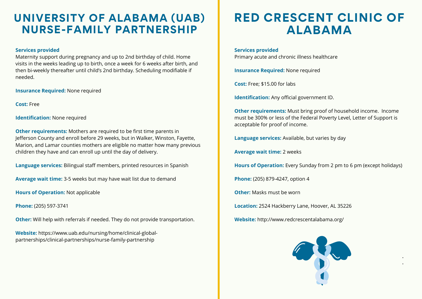### **UNIVERSITY OF ALABAMA (UAB) NURSE-FAMILY PARTNERSHIP**

#### **Services provided**

Maternity support during pregnancy and up to 2nd birthday of child. Home visits in the weeks leading up to birth, once a week for 6 weeks after birth, and then bi-weekly thereafter until child's 2nd birthday. Scheduling modifiable if needed.

**Insurance Required:** None required

**Cost:** Free

**Identification:** None required

**Other requirements:** Mothers are required to be first time parents in Jefferson County and enroll before 29 weeks, but in Walker, Winston, Fayette, Marion, and Lamar counties mothers are eligible no matter how many previous children they have and can enroll up until the day of delivery.

**Language services:** Bilingual staff members, printed resources in Spanish

**Average wait time:** 3-5 weeks but may have wait list due to demand

**Hours of Operation:** Not applicable

**Phone:** (205) 597-3741

**Other:** Will help with referrals if needed. They do not provide transportation.

**Website:** https://www.uab.edu/nursing/home/clinical-global[partnerships/clinical-partnerships/nurse-family-partnership](https://www.uab.edu/nursing/home/clinical-global-partnerships/clinical-partnerships/nurse-family-partnership)

### **RED CRESCENT CLINIC OF ALABAMA**

**Services provided** Primary acute and chronic illness healthcare

**Insurance Required:** None required

**Cost:** Free; \$15.00 for labs

**Identification:** Any official government ID.

**Other requirements:** Must bring proof of household income. Income must be 300% or less of the Federal Poverty Level, Letter of Support is acceptable for proof of income.

**Language services:** Available, but varies by day

**Average wait time:** 2 weeks

**Hours of Operation:** Every Sunday from 2 pm to 6 pm (except holidays)

**Phone:** (205) 879-4247, option 4

**Other:** Masks must be worn

**Location:** 2524 Hackberry Lane, Hoover, AL 35226

**Website:** http://www.redcrescentalabama.org/



• •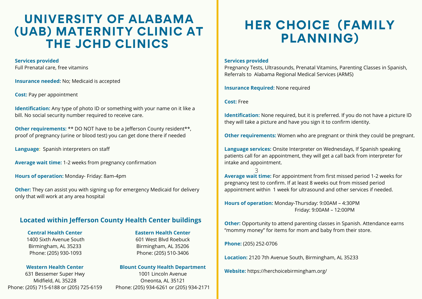### **UNIVERSITY OF ALABAMA (UAB) MATERNITY CLINIC AT THE JCHD CLINICS**

#### **Services provided**

Full Prenatal care, free vitamins

**Insurance needed:** No; Medicaid is accepted

**Cost:** Pay per appointment

**Identification:** Any type of photo ID or something with your name on it like a bill. No social security number required to receive care.

**Other requirements:** \*\* DO NOT have to be a Jefferson County resident\*\*, proof of pregnancy (urine or blood test) you can get done there if needed

**Language:** Spanish interpreters on staff

**Average wait time:** 1-2 weeks from pregnancy confirmation

**Hours of operation:** Monday- Friday: 8am-4pm

**Other:** They can assist you with signing up for emergency Medicaid for delivery only that will work at any area hospital

#### **Located within Jefferson County Health Center buildings**

**Central Health Center** 1400 Sixth Avenue South Birmingham, AL 35233 Phone: (205) 930-1093

#### **Western Health Center**

631 Bessemer Super Hwy Midfield, AL 35228 Phone: (205) 715-6188 or (205) 725-6159 **Eastern Health Center** 601 West Blvd Roebuck Birmingham, AL 35206 Phone: (205) 510-3406

#### **Blount County Health Department**

1001 Lincoln Avenue Oneonta, AL 35121 Phone: (205) 934-6261 or (205) 934-2171

### **HER CHOICE (FAMILY PLANNING)**

#### **Services provided**

Pregnancy Tests, Ultrasounds, Prenatal Vitamins, Parenting Classes in Spanish, Referrals to Alabama Regional Medical Services (ARMS)

**Insurance Required:** None required

**Cost:** Free

**Identification:** None required, but it is preferred. If you do not have a picture ID they will take a picture and have you sign it to confirm identity.

**Other requirements:** Women who are pregnant or think they could be pregnant.

**Language services:** Onsite Interpreter on Wednesdays, If Spanish speaking patients call for an appointment, they will get a call back from interpreter for intake and appointment.

3 **Average wait time:** For appointment from first missed period 1-2 weeks for pregnancy test to confirm. If at least 8 weeks out from missed period appointment within 1 week for ultrasound and other services if needed.

**Hours of operation:** Monday-Thursday: 9:00AM – 4:30PM Friday: 9:00AM – 12:00PM

**Other:** Opportunity to attend parenting classes in Spanish. Attendance earns "mommy money" for items for mom and baby from their store.

**Phone:** (205) 252-0706

**Location:** 2120 7th Avenue South, Birmingham, AL 35233

**Website:** https://herchoicebirmingham.org/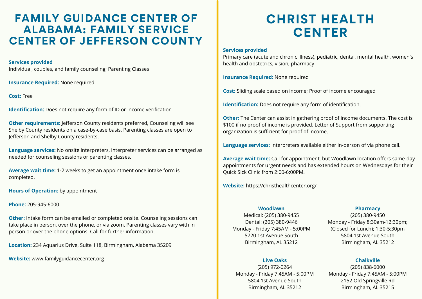### **FAMILY GUIDANCE CENTER OF ALABAMA: FAMILY SERVICE CENTER OF JEFFERSON COUNTY**

#### **Services provided**

Individual, couples, and family counseling; Parenting Classes

**Insurance Required:** None required

**Cost:** Free

**Identification:** Does not require any form of ID or income verification

**Other requirements:** Jefferson County residents preferred, Counseling will see Shelby County residents on a case-by-case basis. Parenting classes are open to Jefferson and Shelby County residents.

**Language services:** No onsite interpreters, interpreter services can be arranged as needed for counseling sessions or parenting classes.

**Average wait time:** 1-2 weeks to get an appointment once intake form is completed.

**Hours of Operation:** by appointment

**Phone:** 205-945-6000

**Other:** Intake form can be emailed or completed onsite. Counseling sessions can take place in person, over the phone, or via zoom. Parenting classes vary with in person or over the phone options. Call for further information.

**Location:** 234 Aquarius Drive, Suite 118, Birmingham, Alabama 35209

**Website:** [www.familyguidancecenter.org](https://urldefense.com/v3/__http:/www.familyguidancecenter.org__;!!NoSwA-eRAg!R6_KvSBm4D5PCK1M_m82e6AzlVTA0FbEpCBWwqrvy3pQTu66CzXdkD8ldxKTouT4MA$)

# **CHRIST HEALTH CENTER**

#### **Services provided**

Primary care (acute and chronic illness), pediatric, dental, mental health, women's health and obstetrics, vision, pharmacy

**Insurance Required:** None required

**Cost:** Sliding scale based on income; Proof of income encouraged

**Identification:** Does not require any form of identification.

**Other:** The Center can assist in gathering proof of income documents. The cost is \$100 if no proof of income is provided. Letter of Support from supporting organization is sufficient for proof of income.

**Language services:** Interpreters available either in-person of via phone call.

**Average wait time:** Call for appointment, but Woodlawn location offers same-day appointments for urgent needs and has extended hours on Wednesdays for their Quick Sick Clinic from 2:00-6:00PM.

**Website:** https://christhealthcenter.org/

#### **Woodlawn**

#### Medical: (205) 380-9455 Dental: (205) 380-9446 Monday - Friday 7:45AM - 5:00PM 5720 1st Avenue South Birmingham, AL 35212

#### **Live Oaks**

(205) 972-0264 Monday - Friday 7:45AM - 5:00PM 5804 1st Avenue South Birmingham, AL 35212

#### **Pharmacy**

(205) 380-9450 Monday - Friday 8:30am-12:30pm; (Closed for Lunch); 1:30-5:30pm 5804 1st Avenue South Birmingham, AL 35212

#### **Chalkville**

(205) 838-6000 Monday - Friday 7:45AM - 5:00PM 2152 Old Springville Rd Birmingham, AL 35215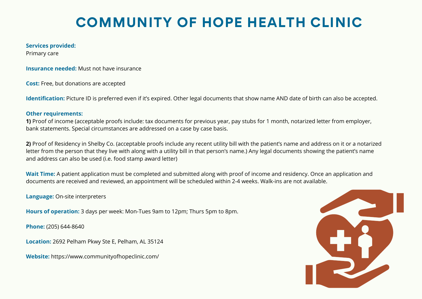# **COMMUNITY OF HOPE HEALTH CLINIC**

#### **Services provided:**

Primary care

**Insurance needed:** Must not have insurance

**Cost:** Free, but donations are accepted

**Identification:** Picture ID is preferred even if it's expired. Other legal documents that show name AND date of birth can also be accepted.

#### **Other requirements:**

**1)** Proof of income (acceptable proofs include: tax documents for previous year, pay stubs for 1 month, notarized letter from employer, bank statements. Special circumstances are addressed on a case by case basis.

**2)** Proof of Residency in Shelby Co. (acceptable proofs include any recent utility bill with the patient's name and address on it or a notarized letter from the person that they live with along with a utility bill in that person's name.) Any legal documents showing the patient's name and address can also be used (i.e. food stamp award letter)

**Wait Time:** A patient application must be completed and submitted along with proof of income and residency. Once an application and documents are received and reviewed, an appointment will be scheduled within 2-4 weeks. Walk-ins are not available.

**Language:** On-site interpreters

**Hours of operation:** 3 days per week: Mon-Tues 9am to 12pm; Thurs 5pm to 8pm.

**Phone:** (205) 644-8640

**Location:** 2692 Pelham Pkwy Ste E, Pelham, AL 35124

**Website:** https://www.communityofhopeclinic.com/

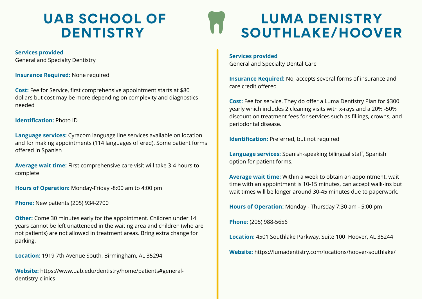# **UAB SCHOOL OF DENTISTRY**

**Services provided** General and Specialty Dentistry

**Insurance Required:** None required

**Cost:** Fee for Service, first comprehensive appointment starts at \$80 dollars but cost may be more depending on complexity and diagnostics needed

#### **Identification:** Photo ID

**Language services:** Cyracom language line services available on location and for making appointments (114 languages offered). Some patient forms offered in Spanish

**Average wait time:** First comprehensive care visit will take 3-4 hours to complete

**Hours of Operation:** Monday-Friday -8:00 am to 4:00 pm

**Phone:** New patients (205) 934-2700

**Other:** Come 30 minutes early for the appointment. Children under 14 years cannot be left unattended in the waiting area and children (who are not patients) are not allowed in treatment areas. Bring extra change for parking.

**Location:** 1919 7th Avenue South, Birmingham, AL 35294

**Website:** https://www.uab.edu/dentistry/home/patients#generaldentistry-clinics

# **LUMA DENISTRY SOUTHLAKE/HOOVER**

**Services provided** General and Specialty Dental Care

**Insurance Required:** No, accepts several forms of insurance and care credit offered

**Cost:** Fee for service. They do offer a Luma Dentistry Plan for \$300 yearly which includes 2 cleaning visits with x-rays and a 20% -50% discount on treatment fees for services such as fillings, crowns, and periodontal disease.

**Identification:** Preferred, but not required

**Language services:** Spanish-speaking bilingual staff, Spanish option for patient forms.

**Average wait time:** Within a week to obtain an appointment, wait time with an appointment is 10-15 minutes, can accept walk-ins but wait times will be longer around 30-45 minutes due to paperwork.

**Hours of Operation:** Monday - Thursday 7:30 am - 5:00 pm

**Phone:** (205) 988-5656

**Location:** 4501 Southlake Parkway, Suite 100 Hoover, AL 35244

**Website:** https://lumadentistry.com/locations/hoover-southlake/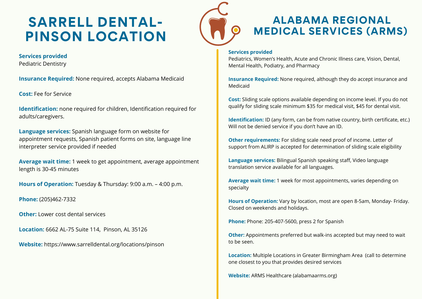# **SARRELL DENTAL-PINSON LOCATION**



### **ALABAMA REGIONAL MEDICAL SERVICES (ARMS)**

#### **Services provided**

Pediatrics, Women's Health, Acute and Chronic Illness care, Vision, Dental, Mental Health, Podiatry, and Pharmacy

**Insurance Required:** None required, although they do accept insurance and Medicaid

**Cost:** Sliding scale options available depending on income level. If you do not qualify for sliding scale minimum \$35 for medical visit, \$45 for dental visit.

**Identification:** ID (any form, can be from native country, birth certificate, etc.) Will not be denied service if you don't have an ID.

**Other requirements:** For sliding scale need proof of income. Letter of support from ALIRP is accepted for determination of sliding scale eligibility

**Language services:** Bilingual Spanish speaking staff, Video language translation service available for all languages.

**Average wait time:** 1 week for most appointments, varies depending on specialty

**Hours of Operation:** Vary by location, most are open 8-5am, Monday- Friday. Closed on weekends and holidays.

**Phone:** Phone: 205-407-5600, press 2 for Spanish

**Other:** Appointments preferred but walk-ins accepted but may need to wait to be seen.

**Location:** Multiple Locations in Greater Birmingham Area (call to determine one closest to you that provides desired services

**Website:** ARMS Healthcare (alabamaarms.org)

**Services provided** Pediatric Dentistry

**Insurance Required:** None required, accepts Alabama Medicaid

**Cost:** Fee for Service

**Identification:** none required for children, Identification required for adults/caregivers.

**Language services:** Spanish language form on website for appointment requests, Spanish patient forms on site, language line interpreter service provided if needed

**Average wait time:** 1 week to get appointment, average appointment length is 30-45 minutes

**Hours of Operation:** Tuesday & Thursday: 9:00 a.m. – 4:00 p.m.

**Phone:** (205)462-7332

**Other:** Lower cost dental services

**Location:** 6662 AL-75 Suite 114, Pinson, AL 35126

**Website:** [https://www.sarrelldental.org/locations/pinson](https://urldefense.com/v3/__https:/www.sarrelldental.org/locations/pinson__;!!NoSwA-eRAg!VGd7FOUXNjKBsk3KnREuP21F9toTVDlxM-Ulaa8yF3NHTs23-nguPJofeQX0E1gNQw$)